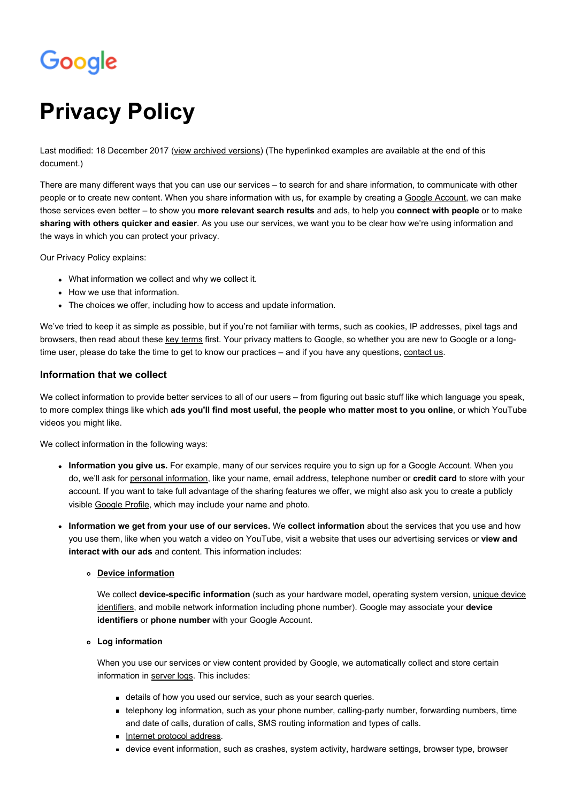# Google

# **Privacy Policy**

Last modified: 18 December 2017 [\(view archived versions](https://www.google.com/intl/en_uk_ALL/policies/privacy/archive/)) (The hyperlinked examples are available at the end of this document.)

There are many different ways that you can use our services – to search for and share information, to communicate with other people or to create new content. When you share information with us, for example by creating a [Google Account,](https://www.google.com/intl/en_uk_ALL/policies/privacy/key-terms/#toc-terms-account) we can make those services even better – to show you **[more relevant search results](https://www.google.com/intl/en_uk_ALL/policies/privacy/example/more-relevant-search-results.html)** and ads, to help you **[connect with people](https://www.google.com/intl/en_uk_ALL/policies/privacy/example/connect-with-people.html)** or to make **[sharing with others quicker and easier](https://www.google.com/intl/en_uk_ALL/policies/privacy/example/sharing-with-others.html)**. As you use our services, we want you to be clear how we're using information and the ways in which you can protect your privacy.

Our Privacy Policy explains:

- What information we collect and why we collect it.
- How we use that information.
- The choices we offer, including how to access and update information.

We've tried to keep it as simple as possible, but if you're not familiar with terms, such as cookies, IP addresses, pixel tags and browsers, then read about these [key terms](https://www.google.com/intl/en_uk_ALL/policies/privacy/key-terms/) first. Your privacy matters to Google, so whether you are new to Google or a longtime user, please do take the time to get to know our practices – and if you have any questions, [contact us.](https://support.google.com/policies/troubleshooter/2990837?hl=en-GB)

# **Information that we collect**

We collect information to provide better services to all of our users – from figuring out basic stuff like which language you speak, to more complex things like which **[ads you'll find most useful](https://www.google.com/intl/en_uk_ALL/policies/privacy/example/ads-youll-find-most-useful.html)**, **[the people who matter most to you online](https://www.google.com/intl/en_uk_ALL/policies/privacy/example/the-people-who-matter-most.html)**, or which YouTube videos you might like.

We collect information in the following ways:

- **Information you give us.** For example, many of our services require you to sign up for a Google Account. When you do, we'll ask for [personal information](https://www.google.com/intl/en_uk_ALL/policies/privacy/key-terms/#toc-terms-personal-info), like your name, email address, telephone number or **[credit card](https://www.google.com/intl/en_uk_ALL/policies/privacy/example/credit-card.html)** to store with your account. If you want to take full advantage of the sharing features we offer, we might also ask you to create a publicly visible [Google Profile,](https://support.google.com/accounts/answer/112783?hl=en) which may include your name and photo.
- **Information we get from your use of our services.** We **[collect information](https://www.google.com/intl/en_uk_ALL/policies/privacy/example/collect-information.html)** about the services that you use and how [you use them, like when you watch a video on YouTube, visit a website that uses our advertising services or](https://www.google.com/intl/en_uk_ALL/policies/privacy/example/view-and-interact-with-our-ads.html) **view and interact with our ads** and content. This information includes:

# **[Device information](https://www.google.com/intl/en_uk_ALL/policies/privacy/key-terms/#toc-terms-device)**

We collect **[device-specific information](https://www.google.com/intl/en_uk_ALL/policies/privacy/example/device-specific-information.html)** (such as your hardware model, operating system version, *unique device* [identifiers, and mobile network information including phone number\). Google may associate your](https://www.google.com/intl/en_uk_ALL/policies/privacy/key-terms/#toc-terms-unique-device-id) **device identifiers** or **[phone number](https://www.google.com/intl/en_uk_ALL/policies/privacy/example/phone-number.html)** with your Google Account.

# **Log information**

When you use our services or view content provided by Google, we automatically collect and store certain information in [server logs.](https://www.google.com/intl/en_uk_ALL/policies/privacy/key-terms/#toc-terms-server-logs) This includes:

- details of how you used our service, such as your search queries.
- telephony log information, such as your phone number, calling-party number, forwarding numbers, time and date of calls, duration of calls, SMS routing information and types of calls.
- [Internet protocol address.](https://www.google.com/intl/en_uk_ALL/policies/privacy/key-terms/#toc-terms-ip)
- device event information, such as crashes, system activity, hardware settings, browser type, browser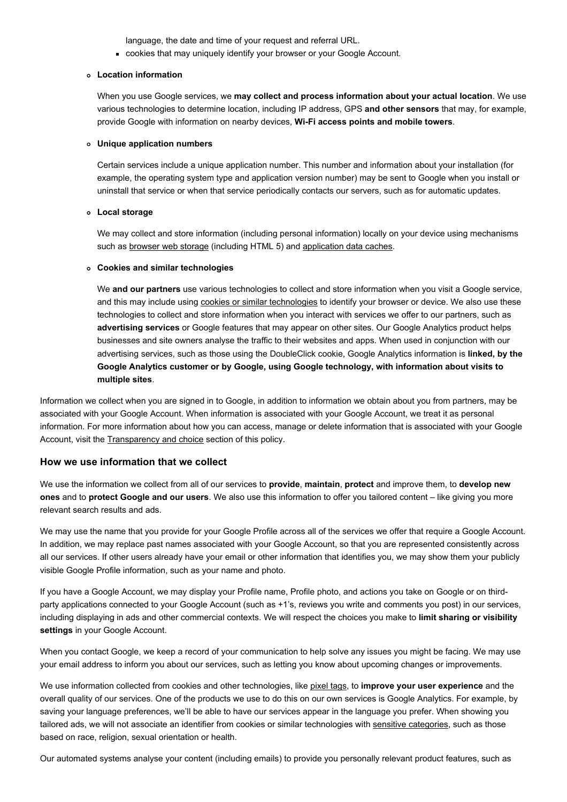language, the date and time of your request and referral URL.

cookies that may uniquely identify your browser or your Google Account.

#### **Location information**

When you use Google services, we **[may collect and process information about your actual location](https://www.google.com/intl/en_uk_ALL/policies/privacy/example/may-collect-and-process-information.html)**. We use various technologies to determine location, including IP address, GPS **[and other sensors](https://www.google.com/intl/en_uk_ALL/policies/privacy/example/sensors.html)** that may, for example, provide Google with information on nearby devices, **[Wi-Fi access points and mobile towers](https://www.google.com/intl/en_uk_ALL/policies/privacy/example/wifi-access-points-and-cell-towers.html)**.

#### **Unique application numbers**

Certain services include a unique application number. This number and information about your installation (for example, the operating system type and application version number) may be sent to Google when you install or uninstall that service or when that service periodically contacts our servers, such as for automatic updates.

# **Local storage**

We may collect and store information (including personal information) locally on your device using mechanisms such as [browser web storage](https://www.google.com/intl/en_uk_ALL/policies/privacy/key-terms/#toc-terms-browser-storage) (including HTML 5) and [application data caches.](https://www.google.com/intl/en_uk_ALL/policies/privacy/key-terms/#toc-terms-application-data-cache)

#### **Cookies and similar technologies**

We **[and our partners](https://www.google.com/intl/en_uk_ALL/policies/privacy/example/our-partners.html)** use various technologies to collect and store information when you visit a Google service, and this may include using [cookies or similar technologies](https://www.google.com/intl/en_uk_ALL/policies/privacy/key-terms/#toc-terms-cookie) to identify your browser or device. We also use these technologies to collect and store information when you interact with services we offer to our partners, such as **[advertising services](https://www.google.com/intl/en_uk_ALL/policies/privacy/example/advertising-services.html)** or Google features that may appear on other sites. Our Google Analytics product helps businesses and site owners analyse the traffic to their websites and apps. When used in conjunction with our advertising services, such as those using the DoubleClick cookie, Google Analytics information is **linked, by the [Google Analytics customer or by Google, using Google technology, with information about visits to](https://www.google.com/intl/en_uk_ALL/policies/privacy/example/linked-with-information-about-visits-to-multiple-sites.html) multiple sites**.

Information we collect when you are signed in to Google, in addition to information we obtain about you from partners, may be associated with your Google Account. When information is associated with your Google Account, we treat it as personal information. For more information about how you can access, manage or delete information that is associated with your Google Account, visit the [Transparency and choice](#page-2-0) section of this policy.

# **How we use information that we collect**

We use the information we collect from all of our services to **[provide](https://www.google.com/intl/en_uk_ALL/policies/privacy/example/provide-services.html)**, **[maintain](https://www.google.com/intl/en_uk_ALL/policies/privacy/example/maintain-services.html)**, **[protect](https://www.google.com/intl/en_uk_ALL/policies/privacy/example/protect-services.html)** and improve them, to **develop new ones** and to **[protect Google and our users](https://www.google.com/intl/en_uk_ALL/policies/privacy/example/protect-google-and-our-users.html)**[. We also use this information to offer you tailored content – like giving you more](https://www.google.com/intl/en_uk_ALL/policies/privacy/example/develop-new-ones.html) relevant search results and ads.

We may use the name that you provide for your Google Profile across all of the services we offer that require a Google Account. In addition, we may replace past names associated with your Google Account, so that you are represented consistently across all our services. If other users already have your email or other information that identifies you, we may show them your publicly visible Google Profile information, such as your name and photo.

If you have a Google Account, we may display your Profile name, Profile photo, and actions you take on Google or on thirdparty applications connected to your Google Account (such as +1's, reviews you write and comments you post) in our services, [including displaying in ads and other commercial contexts. We will respect the choices you make to](https://www.google.com/intl/en_uk_ALL/policies/privacy/example/limit-sharing-or-visibility-settings.html) **limit sharing or visibility settings** in your Google Account.

When you contact Google, we keep a record of your communication to help solve any issues you might be facing. We may use your email address to inform you about our services, such as letting you know about upcoming changes or improvements.

We use information collected from cookies and other technologies, like [pixel tags,](https://www.google.com/intl/en_uk_ALL/policies/privacy/key-terms/#toc-terms-pixel) to **[improve your user experience](https://www.google.com/intl/en_uk_ALL/policies/privacy/example/improve-your-user-experience.html)** and the overall quality of our services. One of the products we use to do this on our own services is Google Analytics. For example, by saving your language preferences, we'll be able to have our services appear in the language you prefer. When showing you tailored ads, we will not associate an identifier from cookies or similar technologies with [sensitive categories](https://www.google.com/intl/en_uk_ALL/policies/privacy/key-terms/#toc-terms-sensitive-categories), such as those based on race, religion, sexual orientation or health.

Our automated systems analyse your content (including emails) to provide you personally relevant product features, such as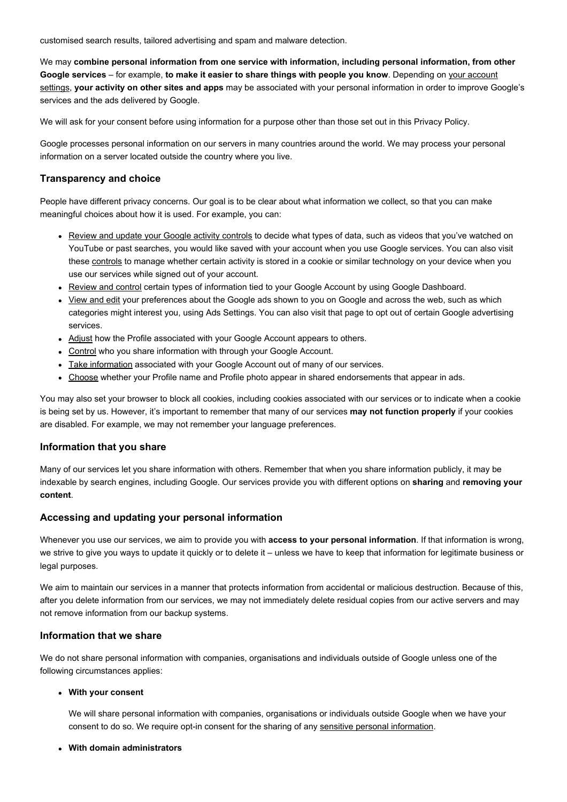customised search results, tailored advertising and spam and malware detection.

We may **[combine personal information from one service with information, including personal information, from other](https://www.google.com/intl/en_uk_ALL/policies/privacy/example/combine-personal-information.html) Google services** – for example, **[to make it easier to share things with people you know](https://www.google.com/intl/en_uk_ALL/policies/privacy/example/to-make-it-easier-to-share.html)**. Depending on your account settings, **[your activity on other sites and apps](https://www.google.com/intl/en_uk_ALL/policies/privacy/example/your-activity-on-other-sites-and-apps.html)** [may be associated with your personal information in order to improve Go](https://myaccount.google.com/?hl=en)ogle's services and the ads delivered by Google.

We will ask for your consent before using information for a purpose other than those set out in this Privacy Policy.

Google processes personal information on our servers in many countries around the world. We may process your personal information on a server located outside the country where you live.

# <span id="page-2-0"></span>**Transparency and choice**

People have different privacy concerns. Our goal is to be clear about what information we collect, so that you can make meaningful choices about how it is used. For example, you can:

- [Review and update your Google activity controls](https://myaccount.google.com/privacy?hl=en#accounthistory) to decide what types of data, such as videos that you've watched on YouTube or past searches, you would like saved with your account when you use Google services. You can also visit these [controls](https://myaccount.google.com/privacy?hl=en#toolsyoucanusenow) to manage whether certain activity is stored in a cookie or similar technology on your device when you use our services while signed out of your account.
- [Review and control](https://www.google.com/dashboard/?hl=en) certain types of information tied to your Google Account by using Google Dashboard.
- [View and edit](https://www.google.com/settings/ads/preferences?hl=en) your preferences about the Google ads shown to you on Google and across the web, such as which categories might interest you, using Ads Settings. You can also visit that page to opt out of certain Google advertising services.
- [Adjust](https://support.google.com/plus/answer/1355890?hl=en) how the Profile associated with your Google Account appears to others.
- [Control](https://support.google.com/plus/bin/static.py?hl=en&page=guide.cs&guide=1257347) who you share information with through your Google Account.
- [Take information](https://www.dataliberation.org/) associated with your Google Account out of many of our services.
- [Choose](https://plus.google.com/settings/endorsements?hl=en) whether your Profile name and Profile photo appear in shared endorsements that appear in ads.

You may also set your browser to block all cookies, including cookies associated with our services or to indicate when a cookie is being set by us. However, it's important to remember that many of our services **[may not function properly](https://www.google.com/intl/en_uk_ALL/policies/privacy/example/may-not-function-properly.html)** if your cookies are disabled. For example, we may not remember your language preferences.

# **Information that you share**

Many of our services let you share information with others. Remember that when you share information publicly, it may be [indexable by search engines, including Google. Our services provide you with different options on](https://www.google.com/intl/en_uk_ALL/policies/privacy/example/removing-your-content.html) **[sharing](https://www.google.com/intl/en_uk_ALL/policies/privacy/example/sharing.html)** and **removing your content**.

# **Accessing and updating your personal information**

Whenever you use our services, we aim to provide you with **[access to your personal information](https://www.google.com/intl/en_uk_ALL/policies/privacy/example/access-to-your-personal-information.html)**. If that information is wrong, we strive to give you ways to update it quickly or to delete it – unless we have to keep that information for legitimate business or legal purposes.

We aim to maintain our services in a manner that protects information from accidental or malicious destruction. Because of this, after you delete information from our services, we may not immediately delete residual copies from our active servers and may not remove information from our backup systems.

# **Information that we share**

We do not share personal information with companies, organisations and individuals outside of Google unless one of the following circumstances applies:

# **With your consent**

We will share personal information with companies, organisations or individuals outside Google when we have your consent to do so. We require opt-in consent for the sharing of any [sensitive personal information.](https://www.google.com/intl/en_uk_ALL/policies/privacy/key-terms/#toc-terms-sensitive-info)

# **With domain administrators**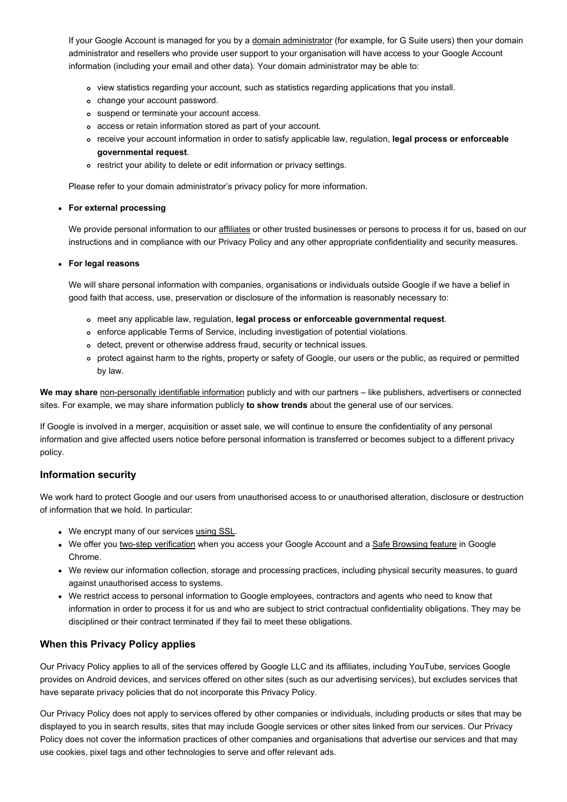If your Google Account is managed for you by a [domain administrator](https://support.google.com/a/answer/178897?hl=en) (for example, for G Suite users) then your domain administrator and resellers who provide user support to your organisation will have access to your Google Account information (including your email and other data). Your domain administrator may be able to:

- view statistics regarding your account, such as statistics regarding applications that you install.
- change your account password.
- suspend or terminate your account access.
- access or retain information stored as part of your account.
- [receive your account information in order to satisfy applicable law, regulation,](https://www.google.com/intl/en_uk_ALL/policies/privacy/example/legal-process.html) **legal process or enforceable governmental request**.
- restrict your ability to delete or edit information or privacy settings.

Please refer to your domain administrator's privacy policy for more information.

# **For external processing**

We provide personal information to our [affiliates](https://www.google.com/intl/en_uk_ALL/policies/privacy/key-terms/#toc-terms-affiliates) or other trusted businesses or persons to process it for us, based on our instructions and in compliance with our Privacy Policy and any other appropriate confidentiality and security measures.

#### **For legal reasons**

We will share personal information with companies, organisations or individuals outside Google if we have a belief in good faith that access, use, preservation or disclosure of the information is reasonably necessary to:

- meet any applicable law, regulation, **[legal process or enforceable governmental request](https://www.google.com/intl/en_uk_ALL/policies/privacy/example/legal-process.html)**.
- enforce applicable Terms of Service, including investigation of potential violations.
- detect, prevent or otherwise address fraud, security or technical issues.
- protect against harm to the rights, property or safety of Google, our users or the public, as required or permitted by law.

**[We may share](https://www.google.com/intl/en_uk_ALL/policies/privacy/example/we-may-share.html)** [non-personally identifiable information](https://www.google.com/intl/en_uk_ALL/policies/privacy/key-terms/#toc-terms-info) publicly and with our partners – like publishers, advertisers or connected sites. For example, we may share information publicly **[to show trends](https://www.google.com/intl/en_uk_ALL/policies/privacy/example/to-show-trends.html)** about the general use of our services.

If Google is involved in a merger, acquisition or asset sale, we will continue to ensure the confidentiality of any personal information and give affected users notice before personal information is transferred or becomes subject to a different privacy policy.

# **Information security**

We work hard to protect Google and our users from unauthorised access to or unauthorised alteration, disclosure or destruction of information that we hold. In particular:

- We encrypt many of our services [using SSL.](https://support.google.com/websearch/answer/173733?hl=en)
- We offer you [two-step verification](https://www.google.com/intl/en/landing/2step/) when you access your Google Account and a [Safe Browsing feature](https://www.google.com/chrome/intl/en/more/security.html) in Google Chrome.
- We review our information collection, storage and processing practices, including physical security measures, to guard against unauthorised access to systems.
- We restrict access to personal information to Google employees, contractors and agents who need to know that information in order to process it for us and who are subject to strict contractual confidentiality obligations. They may be disciplined or their contract terminated if they fail to meet these obligations.

# **When this Privacy Policy applies**

Our Privacy Policy applies to all of the services offered by Google LLC and its affiliates, including YouTube, services Google provides on Android devices, and services offered on other sites (such as our advertising services), but excludes services that have separate privacy policies that do not incorporate this Privacy Policy.

Our Privacy Policy does not apply to services offered by other companies or individuals, including products or sites that may be displayed to you in search results, sites that may include Google services or other sites linked from our services. Our Privacy Policy does not cover the information practices of other companies and organisations that advertise our services and that may use cookies, pixel tags and other technologies to serve and offer relevant ads.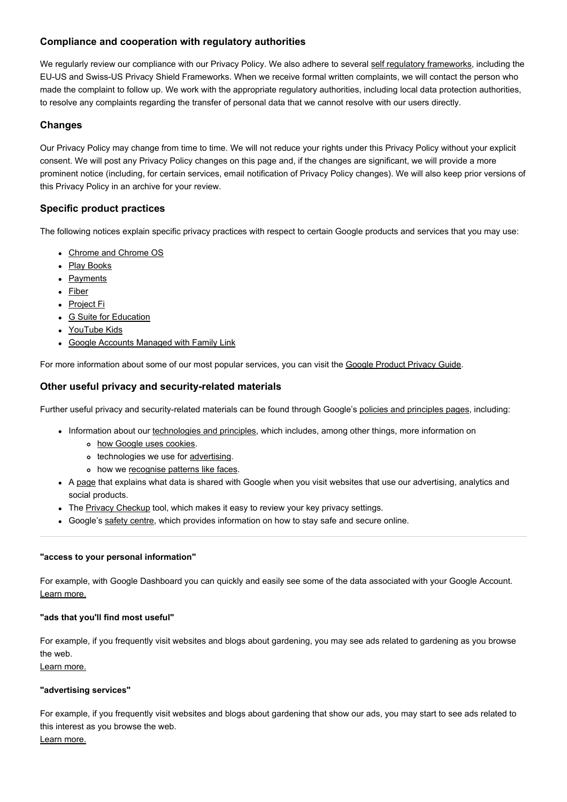# **Compliance and cooperation with regulatory authorities**

We regularly review our compliance with our Privacy Policy. We also adhere to several [self regulatory frameworks,](https://www.google.com/intl/en_uk_ALL/policies/privacy/frameworks/) including the EU-US and Swiss-US Privacy Shield Frameworks. When we receive formal written complaints, we will contact the person who made the complaint to follow up. We work with the appropriate regulatory authorities, including local data protection authorities, to resolve any complaints regarding the transfer of personal data that we cannot resolve with our users directly.

# **Changes**

Our Privacy Policy may change from time to time. We will not reduce your rights under this Privacy Policy without your explicit consent. We will post any Privacy Policy changes on this page and, if the changes are significant, we will provide a more prominent notice (including, for certain services, email notification of Privacy Policy changes). We will also keep prior versions of this Privacy Policy in an archive for your review.

# **Specific product practices**

The following notices explain specific privacy practices with respect to certain Google products and services that you may use:

- [Chrome and Chrome OS](https://www.google.com/chrome/intl/en/privacy.html)
- [Play Books](https://play.google.com/books/intl/en/privacy.html)
- [Payments](https://payments.google.com/legaldocument?family=0.privacynotice&hl=en)
- [Fiber](https://fiber.google.com/legal/privacy.html)
- [Project Fi](https://fi.google.com/about/tos/#project-fi-privacy-notice)
- [G Suite for Education](https://www.google.com/work/apps/terms/education_privacy.html)
- [YouTube Kids](https://kids.youtube.com/privacynotice)
- [Google Accounts Managed with Family Link](https://families.google.com/familylink/privacy/child-policy/)

For more information about some of our most popular services, you can visit the [Google Product Privacy Guide.](https://www.google.com/intl/en_uk_ALL/policies/technologies/product-privacy/)

# **Other useful privacy and security-related materials**

Further useful privacy and security-related materials can be found through Google's [policies and principles pages](https://www.google.com/intl/en_uk_ALL/policies/), including:

- Information about our [technologies and principles,](https://www.google.com/intl/en_uk_ALL/policies/technologies/) which includes, among other things, more information on
	- o [how Google uses cookies.](https://www.google.com/intl/en_uk_ALL/policies/technologies/cookies/)
	- o technologies we use for [advertising](https://www.google.com/intl/en_uk_ALL/policies/technologies/ads/).
	- o how we [recognise patterns like faces](https://www.google.com/intl/en_uk_ALL/policies/technologies/pattern-recognition/).
- A [page](https://www.google.com/intl/en_uk_ALL/policies/privacy/partners/) that explains what data is shared with Google when you visit websites that use our advertising, analytics and social products.
- The [Privacy Checkup](https://myaccount.google.com/privacycheckup/1?hl=en) tool, which makes it easy to review your key privacy settings.
- Google's [safety centre](https://www.google.com/intl/en/safetycenter/), which provides information on how to stay safe and secure online.

# **"access to your personal information"**

For example, with Google Dashboard you can quickly and easily see some of the data associated with your Google Account. [Learn more.](https://www.google.com/intl/en_uk_ALL/policies/privacy/example/access-to-your-personal-information.html)

# **"ads that you'll find most useful"**

For example, if you frequently visit websites and blogs about gardening, you may see ads related to gardening as you browse the web.

# [Learn more.](https://www.google.com/intl/en_uk_ALL/policies/privacy/example/ads-youll-find-most-useful.html)

# **"advertising services"**

For example, if you frequently visit websites and blogs about gardening that show our ads, you may start to see ads related to this interest as you browse the web.

[Learn more.](https://www.google.com/intl/en_uk_ALL/policies/privacy/example/advertising-services.html)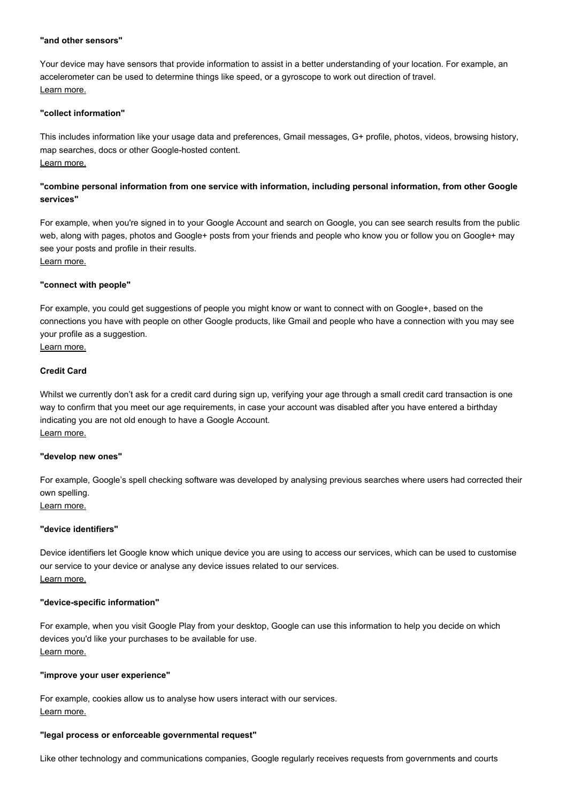#### **"and other sensors"**

Your device may have sensors that provide information to assist in a better understanding of your location. For example, an accelerometer can be used to determine things like speed, or a gyroscope to work out direction of travel. [Learn more.](https://www.google.com/intl/en_uk_ALL/policies/privacy/example/sensors.html)

# **"collect information"**

This includes information like your usage data and preferences, Gmail messages, G+ profile, photos, videos, browsing history, map searches, docs or other Google-hosted content. [Learn more.](https://www.google.com/intl/en_uk_ALL/policies/privacy/example/collect-information.html)

# **"combine personal information from one service with information, including personal information, from other Google services"**

For example, when you're signed in to your Google Account and search on Google, you can see search results from the public web, along with pages, photos and Google+ posts from your friends and people who know you or follow you on Google+ may see your posts and profile in their results.

[Learn more.](https://www.google.com/intl/en_uk_ALL/policies/privacy/example/combine-personal-information.html)

# **"connect with people"**

For example, you could get suggestions of people you might know or want to connect with on Google+, based on the connections you have with people on other Google products, like Gmail and people who have a connection with you may see your profile as a suggestion.

[Learn more.](https://www.google.com/intl/en_uk_ALL/policies/privacy/example/connect-with-people.html)

# **Credit Card**

Whilst we currently don't ask for a credit card during sign up, verifying your age through a small credit card transaction is one way to confirm that you meet our age requirements, in case your account was disabled after you have entered a birthday indicating you are not old enough to have a Google Account. [Learn more.](https://www.google.com/intl/en_uk_ALL/policies/privacy/example/credit-card.html)

#### **"develop new ones"**

For example, Google's spell checking software was developed by analysing previous searches where users had corrected their own spelling. [Learn more.](https://www.google.com/intl/en_uk_ALL/policies/privacy/example/develop-new-ones.html)

# **"device identifiers"**

Device identifiers let Google know which unique device you are using to access our services, which can be used to customise our service to your device or analyse any device issues related to our services. [Learn more.](https://www.google.com/intl/en_uk_ALL/policies/privacy/example/device-identifiers.html)

#### **"device-specific information"**

For example, when you visit Google Play from your desktop, Google can use this information to help you decide on which devices you'd like your purchases to be available for use. [Learn more.](https://www.google.com/intl/en_uk_ALL/policies/privacy/example/device-specific-information.html)

# **"improve your user experience"**

For example, cookies allow us to analyse how users interact with our services. [Learn more.](https://www.google.com/intl/en_uk_ALL/policies/privacy/example/improve-your-user-experience.html)

#### **"legal process or enforceable governmental request"**

Like other technology and communications companies, Google regularly receives requests from governments and courts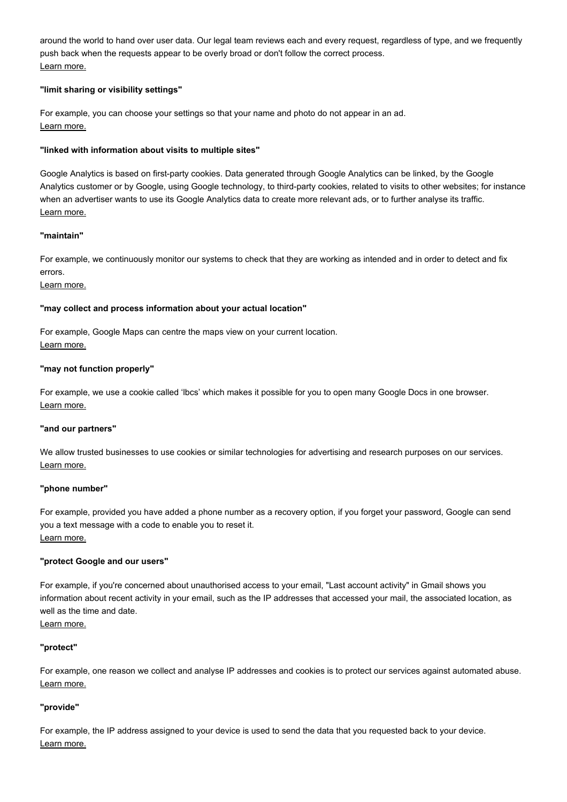around the world to hand over user data. Our legal team reviews each and every request, regardless of type, and we frequently push back when the requests appear to be overly broad or don't follow the correct process. [Learn more.](https://www.google.com/intl/en_uk_ALL/policies/privacy/example/legal-process.html)

# **"limit sharing or visibility settings"**

For example, you can choose your settings so that your name and photo do not appear in an ad. [Learn more.](https://www.google.com/intl/en_uk_ALL/policies/privacy/example/limit-sharing-or-visibility-settings.html)

# **"linked with information about visits to multiple sites"**

Google Analytics is based on first-party cookies. Data generated through Google Analytics can be linked, by the Google Analytics customer or by Google, using Google technology, to third-party cookies, related to visits to other websites; for instance when an advertiser wants to use its Google Analytics data to create more relevant ads, or to further analyse its traffic. [Learn more.](https://www.google.com/intl/en_uk_ALL/policies/privacy/example/linked-with-information-about-visits-to-multiple-sites.html)

# **"maintain"**

For example, we continuously monitor our systems to check that they are working as intended and in order to detect and fix errors.

# [Learn more.](https://www.google.com/intl/en_uk_ALL/policies/privacy/example/maintain-services.html)

# **"may collect and process information about your actual location"**

For example, Google Maps can centre the maps view on your current location. [Learn more.](https://www.google.com/intl/en_uk_ALL/policies/privacy/example/may-collect-and-process-information.html)

# **"may not function properly"**

For example, we use a cookie called 'lbcs' which makes it possible for you to open many Google Docs in one browser. [Learn more.](https://www.google.com/intl/en_uk_ALL/policies/privacy/example/may-not-function-properly.html)

# **"and our partners"**

We allow trusted businesses to use cookies or similar technologies for advertising and research purposes on our services. [Learn more.](https://www.google.com/intl/en_uk_ALL/policies/privacy/example/our-partners.html)

# **"phone number"**

For example, provided you have added a phone number as a recovery option, if you forget your password, Google can send you a text message with a code to enable you to reset it. [Learn more.](https://www.google.com/intl/en_uk_ALL/policies/privacy/example/phone-number.html)

# **"protect Google and our users"**

For example, if you're concerned about unauthorised access to your email, "Last account activity" in Gmail shows you information about recent activity in your email, such as the IP addresses that accessed your mail, the associated location, as well as the time and date.

# [Learn more.](https://www.google.com/intl/en_uk_ALL/policies/privacy/example/protect-google-and-our-users.html)

# **"protect"**

For example, one reason we collect and analyse IP addresses and cookies is to protect our services against automated abuse. [Learn more.](https://www.google.com/intl/en_uk_ALL/policies/privacy/example/protect-services.html)

# **"provide"**

For example, the IP address assigned to your device is used to send the data that you requested back to your device. [Learn more.](https://www.google.com/intl/en_uk_ALL/policies/privacy/example/provide-services.html)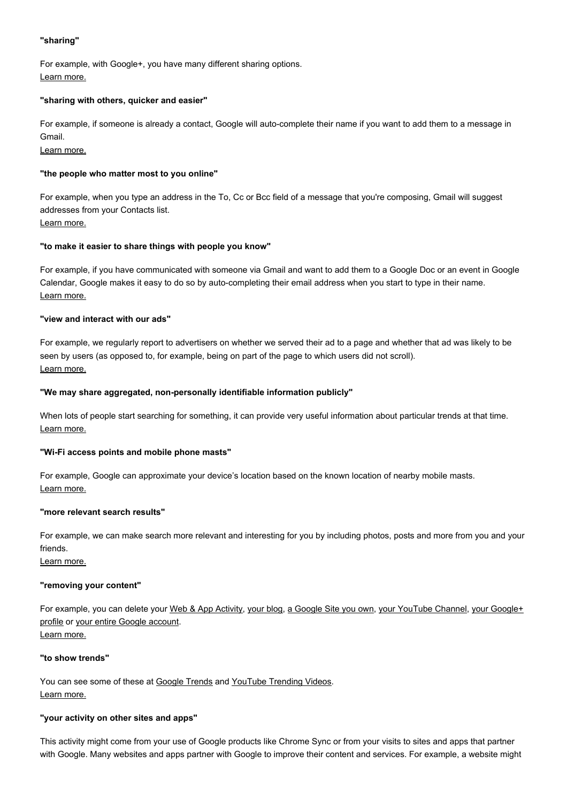# **"sharing"**

For example, with Google+, you have many different sharing options. [Learn more.](https://www.google.com/intl/en_uk_ALL/policies/privacy/example/sharing.html)

#### **"sharing with others, quicker and easier"**

For example, if someone is already a contact, Google will auto-complete their name if you want to add them to a message in Gmail.

[Learn more.](https://www.google.com/intl/en_uk_ALL/policies/privacy/example/sharing-with-others.html)

# **"the people who matter most to you online"**

For example, when you type an address in the To, Cc or Bcc field of a message that you're composing, Gmail will suggest addresses from your Contacts list. [Learn more.](https://www.google.com/intl/en_uk_ALL/policies/privacy/example/the-people-who-matter-most.html)

# **"to make it easier to share things with people you know"**

For example, if you have communicated with someone via Gmail and want to add them to a Google Doc or an event in Google Calendar, Google makes it easy to do so by auto-completing their email address when you start to type in their name. [Learn more.](https://www.google.com/intl/en_uk_ALL/policies/privacy/example/to-make-it-easier-to-share.html)

#### **"view and interact with our ads"**

For example, we regularly report to advertisers on whether we served their ad to a page and whether that ad was likely to be seen by users (as opposed to, for example, being on part of the page to which users did not scroll). [Learn more.](https://www.google.com/intl/en_uk_ALL/policies/privacy/example/view-and-interact-with-our-ads.html)

#### **"We may share aggregated, non-personally identifiable information publicly"**

When lots of people start searching for something, it can provide very useful information about particular trends at that time. [Learn more.](https://www.google.com/intl/en_uk_ALL/policies/privacy/example/we-may-share.html)

#### **"Wi-Fi access points and mobile phone masts"**

For example, Google can approximate your device's location based on the known location of nearby mobile masts. [Learn more.](https://www.google.com/intl/en_uk_ALL/policies/privacy/example/wifi-access-points-and-cell-towers.html)

#### **"more relevant search results"**

For example, we can make search more relevant and interesting for you by including photos, posts and more from you and your friends.

[Learn more.](https://www.google.com/intl/en_uk_ALL/policies/privacy/example/more-relevant-search-results.html)

#### **"removing your content"**

[For example, you can delete your](https://support.google.com/plus/answer/1044503?hl=en) [Web & App Activit](https://support.google.com/websearch/answer/465?hl=en)[y, y](https://support.google.com/plus/answer/1044503?hl=en)[our blo](https://support.google.com/blogger/answer/41387?hl=en)[g, a](https://support.google.com/plus/answer/1044503?hl=en) [Google Site you ow](https://support.google.com/sites/answer/90598?hl=en)[n, y](https://support.google.com/plus/answer/1044503?hl=en)[our YouTube Channel](https://support.google.com/youtube/answer/55759?hl=en)[, your Google+](https://support.google.com/plus/answer/1044503?hl=en) profile or [your entire Google account.](https://support.google.com/accounts/answer/32046?hl=en) [Learn more.](https://www.google.com/intl/en_uk_ALL/policies/privacy/example/removing-your-content.html)

#### **"to show trends"**

You can see some of these at [Google Trends](https://www.google.com/trends/?hl=en-GB) and [YouTube Trending Videos.](https://www.youtube.com/trending) [Learn more.](https://www.google.com/intl/en_uk_ALL/policies/privacy/example/to-show-trends.html)

# **"your activity on other sites and apps"**

This activity might come from your use of Google products like Chrome Sync or from your visits to sites and apps that partner with Google. Many websites and apps partner with Google to improve their content and services. For example, a website might